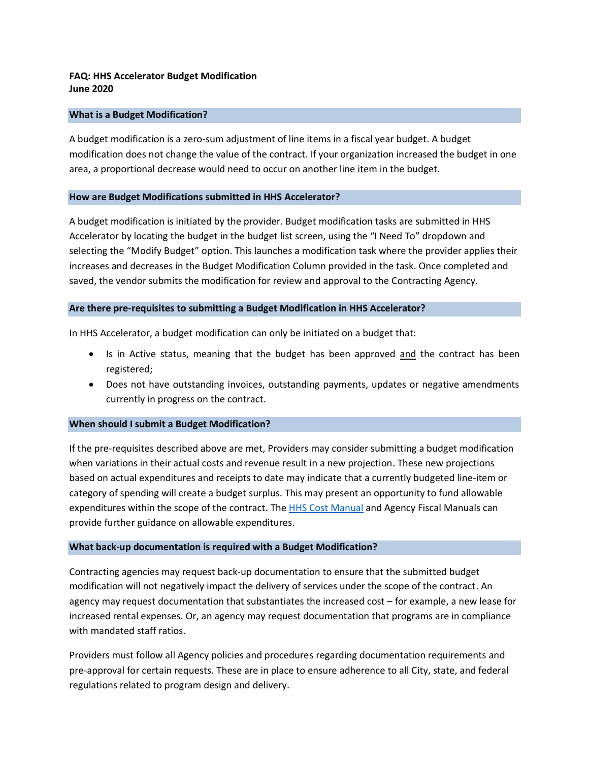# **FAQ: HHS Accelerator Budget Modification June 2020**

#### **What is a Budget Modification?**

A budget modification is a zero-sum adjustment of line items in a fiscal year budget. A budget modification does not change the value of the contract. If your organization increased the budget in one area, a proportional decrease would need to occur on another line item in the budget.

#### **How are Budget Modifications submitted in HHS Accelerator?**

A budget modification is initiated by the provider. Budget modification tasks are submitted in HHS Accelerator by locating the budget in the budget list screen, using the "I Need To" dropdown and selecting the "Modify Budget" option. This launches a modification task where the provider applies their increases and decreases in the Budget Modification Column provided in the task. Once completed and saved, the vendor submits the modification for review and approval to the Contracting Agency.

## **Are there pre-requisites to submitting a Budget Modification in HHS Accelerator?**

In HHS Accelerator, a budget modification can only be initiated on a budget that:

- Is in Active status, meaning that the budget has been approved and the contract has been registered;
- Does not have outstanding invoices, outstanding payments, updates or negative amendments currently in progress on the contract.

# **When should I submit a Budget Modification?**

If the pre-requisites described above are met, Providers may consider submitting a budget modification when variations in their actual costs and revenue result in a new projection. These new projections based on actual expenditures and receipts to date may indicate that a currently budgeted line-item or category of spending will create a budget surplus. This may present an opportunity to fund allowable expenditures within the scope of the contract. The [HHS Cost Manual](https://www1.nyc.gov/assets/nonprofits/downloads/pdf/NYC%20HHS%20Cost%20Policies%20and%20Procedures%20Manual.pdf) and Agency Fiscal Manuals can provide further guidance on allowable expenditures.

#### **What back-up documentation is required with a Budget Modification?**

Contracting agencies may request back-up documentation to ensure that the submitted budget modification will not negatively impact the delivery of services under the scope of the contract. An agency may request documentation that substantiates the increased cost – for example, a new lease for increased rental expenses. Or, an agency may request documentation that programs are in compliance with mandated staff ratios.

Providers must follow all Agency policies and procedures regarding documentation requirements and pre-approval for certain requests. These are in place to ensure adherence to all City, state, and federal regulations related to program design and delivery.